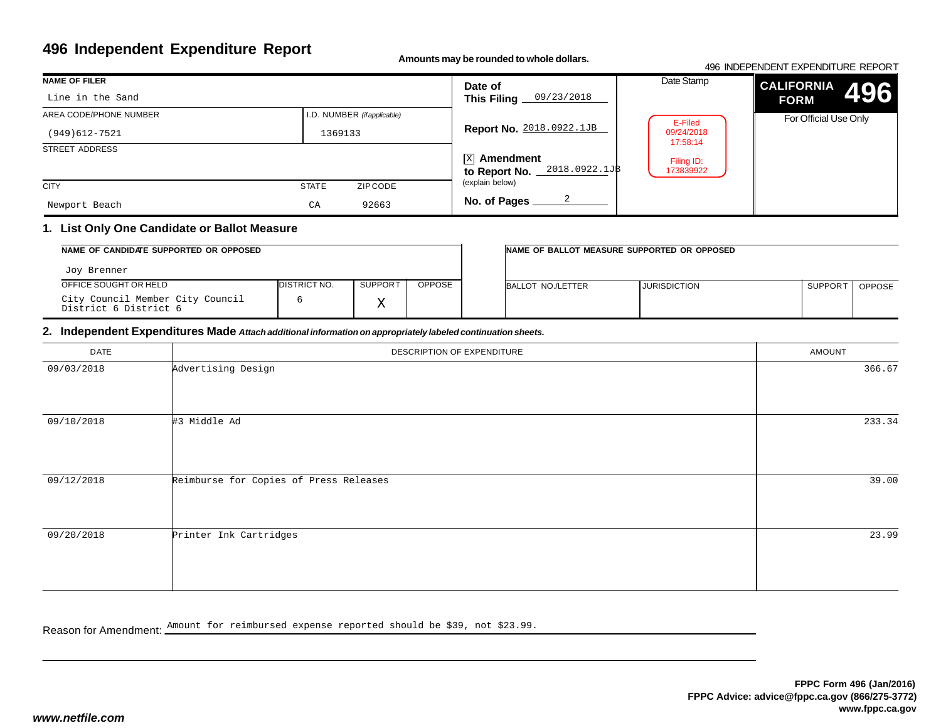# **496 Independent Expenditure Report**

**Amounts may be rounded to whole dollars.**

#### 496 INDEPENDENT EXPENDITURE REPORT**CALIFORNIAFORM** For Official Use OnlyDate Stamp**496NAME OF FILER**STREET ADDRESS **CITY STATE** ZIP CODE I.D. NUMBER *(if applicable)***Date of This Filing Report No.** 2018.0922.1JB $\overline{\mathrm{x}}$ l Amendment **to Report No. No. of Pages** AREA CODE/PHONE NUMBER(explain below)Line in the Sand(949)612-7521 <sup>1369133</sup> Newport Beachh CA 92663 09/23/20182018.0922.1JB2E-Filed 09/24/2018 17:58:14Filing ID:173839922

## **1. List Only One Candidate or Ballot Measure**

| NAME OF CANDIDATE SUPPORTED OR OPPOSED                    |              |         | INAME OF BALLOT MEASURE SUPPORTED OR OPPOSED |                   |                     |                |               |
|-----------------------------------------------------------|--------------|---------|----------------------------------------------|-------------------|---------------------|----------------|---------------|
| Joy Brenner                                               |              |         |                                              |                   |                     |                |               |
| OFFICE SOUGHT OR HELD                                     | DISTRICT NO. | SUPPORT | <b>OPPOSE</b>                                | BALLOT NO./LETTER | <b>JURISDICTION</b> | <b>SUPPORT</b> | <b>OPPOSE</b> |
| City Council Member City Council<br>District 6 District 6 |              |         |                                              |                   |                     |                |               |

## **2. Independent Expenditures Made** *Attach additional information on appropriately labeled continuation sheets.*

| DATE       | DESCRIPTION OF EXPENDITURE             | AMOUNT |
|------------|----------------------------------------|--------|
| 09/03/2018 | Advertising Design                     | 366.67 |
| 09/10/2018 | #3 Middle Ad                           | 233.34 |
| 09/12/2018 | Reimburse for Copies of Press Releases | 39.00  |
| 09/20/2018 | Printer Ink Cartridges                 | 23.99  |

Reason for Amendment: Amount for reimbursed expense reported should be \$39, not \$23.99.